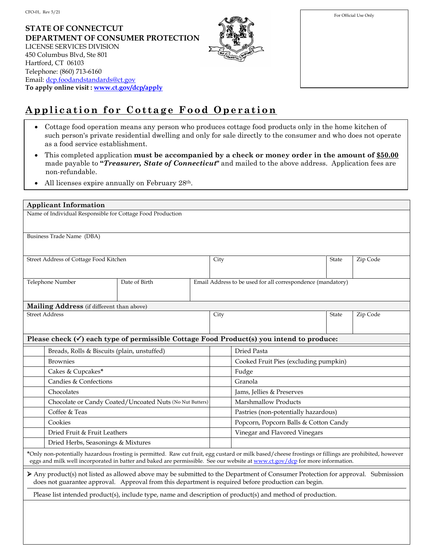**STATE OF CONNECTCUT DEPARTMENT OF CONSUMER PROTECTION** LICENSE SERVICES DIVISION 450 Columbus Blvd, Ste 801 Hartford, CT 06103 Telephone: (860) 713-6160 Email: dcp.foodandstandards@ct.gov **To apply online visit : www.ct.gov/dcp/apply** 



| For Official Use Only |  |  |  |  |  |
|-----------------------|--|--|--|--|--|
|                       |  |  |  |  |  |
|                       |  |  |  |  |  |
|                       |  |  |  |  |  |
|                       |  |  |  |  |  |
|                       |  |  |  |  |  |
|                       |  |  |  |  |  |

## **Application for Cottage Food Operation**

- Cottage food operation means any person who produces cottage food products only in the home kitchen of such person's private residential dwelling and only for sale directly to the consumer and who does not operate as a food service establishment.
- This completed application **must be accompanied by a check or money order in the amount of \$50.00** made payable to **"***Treasurer, State of Connecticut***"** and mailed to the above address. Application fees are non-refundable.
- All licenses expire annually on February 28<sup>th</sup>.

| <b>Applicant Information</b>                                                                                                                                                                                                                                                         |                                                          |  |                                                             |                                       |                                                                                                     |              |          |  |
|--------------------------------------------------------------------------------------------------------------------------------------------------------------------------------------------------------------------------------------------------------------------------------------|----------------------------------------------------------|--|-------------------------------------------------------------|---------------------------------------|-----------------------------------------------------------------------------------------------------|--------------|----------|--|
| Name of Individual Responsible for Cottage Food Production                                                                                                                                                                                                                           |                                                          |  |                                                             |                                       |                                                                                                     |              |          |  |
|                                                                                                                                                                                                                                                                                      |                                                          |  |                                                             |                                       |                                                                                                     |              |          |  |
| Business Trade Name (DBA)                                                                                                                                                                                                                                                            |                                                          |  |                                                             |                                       |                                                                                                     |              |          |  |
|                                                                                                                                                                                                                                                                                      |                                                          |  |                                                             |                                       |                                                                                                     |              |          |  |
| Street Address of Cottage Food Kitchen                                                                                                                                                                                                                                               |                                                          |  | City                                                        |                                       | <b>State</b>                                                                                        | Zip Code     |          |  |
|                                                                                                                                                                                                                                                                                      |                                                          |  |                                                             |                                       |                                                                                                     |              |          |  |
| Telephone Number<br>Date of Birth                                                                                                                                                                                                                                                    |                                                          |  | Email Address to be used for all correspondence (mandatory) |                                       |                                                                                                     |              |          |  |
|                                                                                                                                                                                                                                                                                      |                                                          |  |                                                             |                                       |                                                                                                     |              |          |  |
|                                                                                                                                                                                                                                                                                      | Mailing Address (if different than above)                |  |                                                             |                                       |                                                                                                     |              |          |  |
| <b>Street Address</b>                                                                                                                                                                                                                                                                |                                                          |  |                                                             | City                                  |                                                                                                     | <b>State</b> | Zip Code |  |
|                                                                                                                                                                                                                                                                                      |                                                          |  |                                                             |                                       |                                                                                                     |              |          |  |
|                                                                                                                                                                                                                                                                                      |                                                          |  |                                                             |                                       | Please check $(\checkmark)$ each type of permissible Cottage Food Product(s) you intend to produce: |              |          |  |
|                                                                                                                                                                                                                                                                                      | Breads, Rolls & Biscuits (plain, unstuffed)              |  |                                                             |                                       | Dried Pasta                                                                                         |              |          |  |
|                                                                                                                                                                                                                                                                                      | <b>Brownies</b>                                          |  |                                                             |                                       | Cooked Fruit Pies (excluding pumpkin)                                                               |              |          |  |
|                                                                                                                                                                                                                                                                                      | Cakes & Cupcakes*                                        |  |                                                             |                                       | Fudge                                                                                               |              |          |  |
|                                                                                                                                                                                                                                                                                      | Candies & Confections                                    |  |                                                             | Granola                               |                                                                                                     |              |          |  |
|                                                                                                                                                                                                                                                                                      | Chocolates                                               |  |                                                             |                                       | Jams, Jellies & Preserves                                                                           |              |          |  |
|                                                                                                                                                                                                                                                                                      | Chocolate or Candy Coated/Uncoated Nuts (No Nut Butters) |  |                                                             |                                       | Marshmallow Products                                                                                |              |          |  |
|                                                                                                                                                                                                                                                                                      | Coffee & Teas                                            |  |                                                             |                                       | Pastries (non-potentially hazardous)                                                                |              |          |  |
| Cookies                                                                                                                                                                                                                                                                              |                                                          |  |                                                             | Popcorn, Popcorn Balls & Cotton Candy |                                                                                                     |              |          |  |
| Dried Fruit & Fruit Leathers                                                                                                                                                                                                                                                         |                                                          |  |                                                             | Vinegar and Flavored Vinegars         |                                                                                                     |              |          |  |
|                                                                                                                                                                                                                                                                                      | Dried Herbs, Seasonings & Mixtures                       |  |                                                             |                                       |                                                                                                     |              |          |  |
| *Only non-potentially hazardous frosting is permitted. Raw cut fruit, egg custard or milk based/cheese frostings or fillings are prohibited, however<br>eggs and milk well incorporated in batter and baked are permissible. See our website at www.ct.gov/dcp for more information. |                                                          |  |                                                             |                                       |                                                                                                     |              |          |  |
| Any product(s) not listed as allowed above may be submitted to the Department of Consumer Protection for approval. Submission<br>does not guarantee approval. Approval from this department is required before production can begin.                                                 |                                                          |  |                                                             |                                       |                                                                                                     |              |          |  |
| Please list intended product(s), include type, name and description of product(s) and method of production.                                                                                                                                                                          |                                                          |  |                                                             |                                       |                                                                                                     |              |          |  |
|                                                                                                                                                                                                                                                                                      |                                                          |  |                                                             |                                       |                                                                                                     |              |          |  |
|                                                                                                                                                                                                                                                                                      |                                                          |  |                                                             |                                       |                                                                                                     |              |          |  |
|                                                                                                                                                                                                                                                                                      |                                                          |  |                                                             |                                       |                                                                                                     |              |          |  |